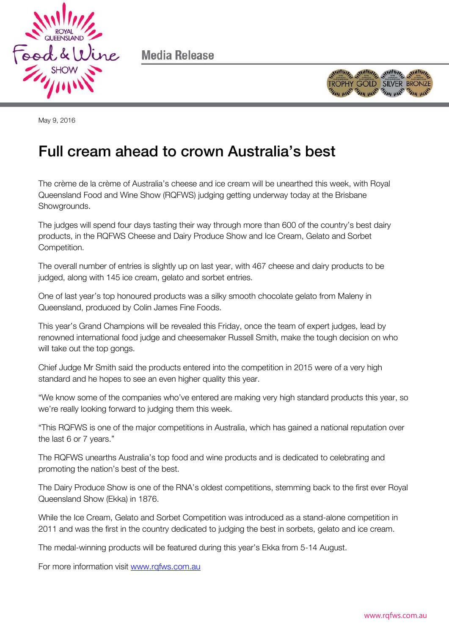

Media Release



May 9, 2016

## Full cream ahead to crown Australia's best Full cream ahead to crown Australia's best

The crème de la crème of Australia's cheese and ice cream will be unearthed this week, with Royal Queensland Food and Wine Show (RQFWS) judging getting underway today at the Brisbane Showgrounds.

The judges will spend four days tasting their way through more than 600 of the country's best dairy products, in the RQFWS Cheese and Dairy Produce Show and Ice Cream, Gelato and Sorbet Competition.

The overall number of entries is slightly up on last year, with 467 cheese and dairy products to be judged, along with 145 ice cream, gelato and sorbet entries.

One of last year's top honoured products was a silky smooth chocolate gelato from Maleny in Queensland, produced by Colin James Fine Foods.

This year's Grand Champions will be revealed this Friday, once the team of expert judges, lead by renowned international food judge and cheesemaker Russell Smith, make the tough decision on who will take out the top gongs.

Chief Judge Mr Smith said the products entered into the competition in 2015 were of a very high standard and he hopes to see an even higher quality this year.

"We know some of the companies who've entered are making very high standard products this year, so we're really looking forward to judging them this week.

"This RQFWS is one of the major competitions in Australia, which has gained a national reputation over the last 6 or 7 years."

The RQFWS unearths Australia's top food and wine products and is dedicated to celebrating and promoting the nation's best of the best.

The Dairy Produce Show is one of the RNA's oldest competitions, stemming back to the first ever Royal Queensland Show (Ekka) in 1876.

While the Ice Cream, Gelato and Sorbet Competition was introduced as a stand-alone competition in 2011 and was the first in the country dedicated to judging the best in sorbets, gelato and ice cream.

The medal-winning products will be featured during this year's Ekka from 5-14 August.

For more information visit [www.rqfws.com.au](http://www.rqfws.com.au/)